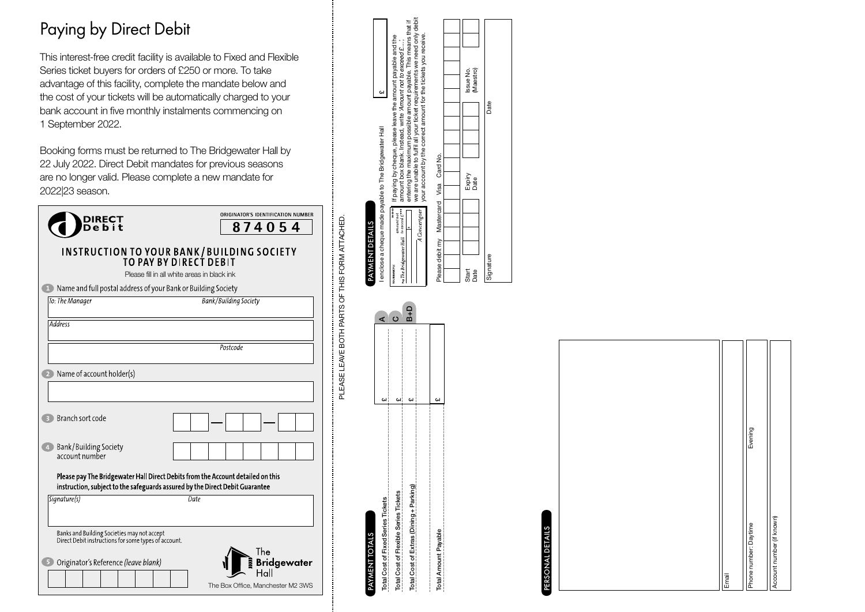## Paying by Direct Debi t

This interest-free credit facility is available to Fixed and Flexible Series ticket buyers for orders of £250 or more. To take advantage of this facility, complete the mandate below and the cost of your tickets will be auto matically charged to your bank account in five monthly instalments commencing on 1 September 2022 .

Booking forms must be returned to The Bridgewater Hall by 22 July 2022. Direct Debit mandates for prev ious seasons are no longer valid. Please complete a new mandate for 2022|23 season .

| <b>DIRECT<br/>Debit</b>                                                                                                                                         | ORIGINATOR'S IDENTIFICATION NUMBER<br>874054 |
|-----------------------------------------------------------------------------------------------------------------------------------------------------------------|----------------------------------------------|
|                                                                                                                                                                 |                                              |
| INSTRUCTION TO YOUR BANK/BUILDING SOCIETY<br>TO PAY BY DIRECT DEBIT                                                                                             |                                              |
| Please fill in all white areas in black ink                                                                                                                     |                                              |
| Name and full postal address of your Bank or Building Society<br>n)                                                                                             |                                              |
| To: The Manager                                                                                                                                                 | <b>Bank/Building Society</b>                 |
| Address                                                                                                                                                         |                                              |
|                                                                                                                                                                 | Postcode                                     |
| Name of account holder(s)                                                                                                                                       |                                              |
|                                                                                                                                                                 |                                              |
| Branch sort code<br>$\overline{\mathbf{3}}$                                                                                                                     |                                              |
| Bank/Building Society<br>$\overline{4}$<br>account number                                                                                                       |                                              |
| Please pay The Bridgewater Hall Direct Debits from the Account detailed on this<br>instruction, subject to the safeguards assured by the Direct Debit Guarantee |                                              |
| Signature(s)                                                                                                                                                    | Date                                         |
| Banks and Building Societies may not accept<br>Direct Debit instructions for some types of account.                                                             | The                                          |
| Originator's Reference (leave blank)                                                                                                                            | <b>Bridgewater</b>                           |
|                                                                                                                                                                 | The Box Office, Manchester M2 3WS            |

#### If paying by cheque, please leave the amount payable and the amount box blank. Instead, wite  $Ammn$  not to exceed  $E_{\rm max}$ , extending the neutron position and model in the mean that if and the neutron of the measure and mo we are unable to fulfil all your ticket requirements we need only debit entering the maximum possible amount payable. This means that if If paying by cheque, please leave the amount payable and the your account by the correct amount for the tickets you receive. amount box blank. Instead, write 'Amount not to exceed £....', (Maestro) Issue No.  $\overline{a}$ Date Signature Date PAYMENT DETAILS<br>I enclose a cheque made payable to The Bridgewater Hall I enclose a cheque made payable to The Bridgewater Hall Card No. Please debit my Mastercard Visa Card No. Expiry<br>Date Visa ă PAYMENT DETAILS  $\overline{A}$ *Con*  $_{srHall}$ Please debit my Signature Start Date



PLEASE LEAVE BOTH PARTS OF THIS FORM ATTACHED.

PLEASE LEAVE BOTH PARTS OF THIS FORM ATTACHED.

# PERSONAL DETAILS PERSONAL DETAILS

| Email                     |         |
|---------------------------|---------|
| Phone number: Daytime     | Evening |
| Account number (if known) |         |